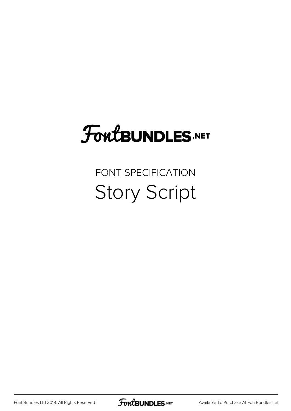## **FoutBUNDLES.NET**

## FONT SPECIFICATION Story Script

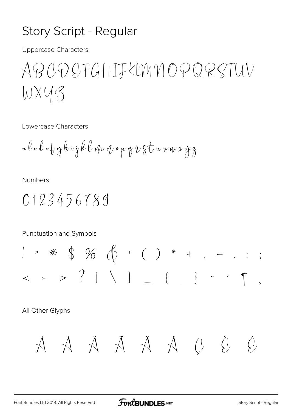## Story Script - Regular

**Uppercase Characters** 

ABCOSFGHIJKLMNOPQRSTUV WXY3

Lowercase Characters

$$
\mathbf{a}\, \mathbf{b}\, \mathbf{c}\, \mathbf{d}\, \mathbf{e}\, \mathbf{b}\, \mathbf{y}\, \mathbf{b}\, \mathbf{i}\, \mathbf{j}\, \mathbf{k}\, \mathbf{l}\, \mathbf{v}\, \mathbf{v}\, \mathbf{v}\, \mathbf{v}\, \mathbf{p}\, \mathbf{y}\, \mathbf{v}\, \mathbf{b}\, \mathbf{v}\, \mathbf{b}\, \mathbf{w}\, \mathbf{v}\, \mathbf{w}\, \mathbf{x}\, \mathbf{y}\, \mathbf{z}
$$

**Numbers** 

Punctuation and Symbols

All Other Glyphs

$$
A \quad A \quad A \quad A \quad A \quad A \quad C \quad \dot{C}
$$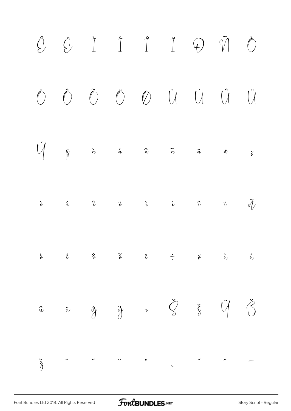